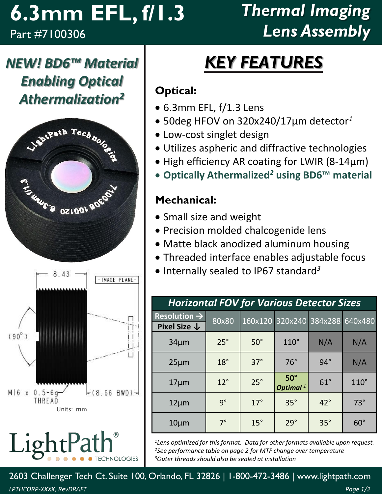### **6.3mm EFL, f/1.3** Part #7100306

## *Thermal Imaging Lens Assembly*

*NEW! BD6™ Material Enabling Optical Athermalization<sup>2</sup>*





LightPa **CHNOLOGIES** 

# *KEY FEATURES*

#### **Optical:**

- 6.3mm EFL, f/1.3 Lens
- 50deg HFOV on 320x240/17µm detector*<sup>1</sup>*
- Low-cost singlet design
- Utilizes aspheric and diffractive technologies
- High efficiency AR coating for LWIR (8-14µm)
- **Optically Athermalized***<sup>2</sup>* **using BD6™ material**

#### **Mechanical:**

- Small size and weight
- Precision molded chalcogenide lens
- Matte black anodized aluminum housing
- Threaded interface enables adjustable focus
- Internally sealed to IP67 standard *3*

| <b>Horizontal FOV for Various Detector Sizes</b> |              |            |                                    |            |             |  |  |  |
|--------------------------------------------------|--------------|------------|------------------------------------|------------|-------------|--|--|--|
| Resolution $\rightarrow$                         | 80x80        |            | 160x120 320x240 384x288            |            | 640x480     |  |  |  |
| Pixel Size $\downarrow$                          |              |            |                                    |            |             |  |  |  |
| $34 \mu m$                                       | $25^\circ$   | $50^\circ$ | $110^\circ$                        | N/A        | N/A         |  |  |  |
| $25 \mu m$                                       | $18^\circ$   | $37^\circ$ | $76^\circ$                         | $94^\circ$ | N/A         |  |  |  |
| $17 \mu m$                                       | $12^{\circ}$ | $25^\circ$ | $50^\circ$<br>Optimal <sup>1</sup> | $61^\circ$ | $110^\circ$ |  |  |  |
| $12 \mu m$                                       | $9^{\circ}$  | $17^\circ$ | $35^\circ$                         | $42^\circ$ | $73^\circ$  |  |  |  |
| $10 \mu m$                                       | $7^\circ$    | $15^\circ$ | 29°                                | $35^\circ$ | $60^\circ$  |  |  |  |

*<sup>1</sup>Lens optimized for this format. Data for other formats available upon request. <sup>2</sup>See performance table on page 2 for MTF change over temperature <sup>3</sup>Outer threads should also be sealed at installation*

2603 Challenger Tech Ct. Suite 100, Orlando, FL 32826 | 1-800-472-3486 | www.lightpath.com *LPTHCORP-XXXX, RevDRAFT Page 1/2*